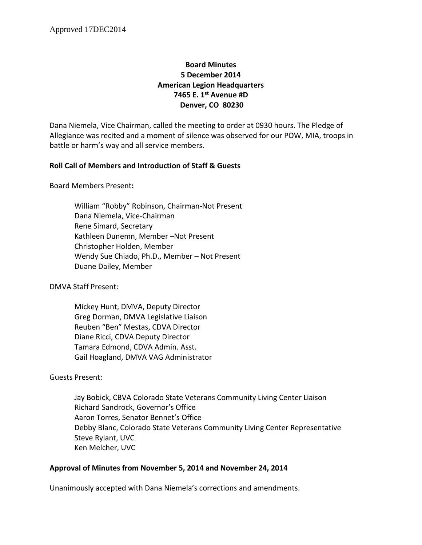# **Board Minutes 5 December 2014 American Legion Headquarters 7465 E. 1st Avenue #D Denver, CO 80230**

Dana Niemela, Vice Chairman, called the meeting to order at 0930 hours. The Pledge of Allegiance was recited and a moment of silence was observed for our POW, MIA, troops in battle or harm's way and all service members.

## **Roll Call of Members and Introduction of Staff & Guests**

Board Members Present**:**

William "Robby" Robinson, Chairman-Not Present Dana Niemela, Vice-Chairman Rene Simard, Secretary Kathleen Dunemn, Member –Not Present Christopher Holden, Member Wendy Sue Chiado, Ph.D., Member – Not Present Duane Dailey, Member

DMVA Staff Present:

Mickey Hunt, DMVA, Deputy Director Greg Dorman, DMVA Legislative Liaison Reuben "Ben" Mestas, CDVA Director Diane Ricci, CDVA Deputy Director Tamara Edmond, CDVA Admin. Asst. Gail Hoagland, DMVA VAG Administrator

Guests Present:

Jay Bobick, CBVA Colorado State Veterans Community Living Center Liaison Richard Sandrock, Governor's Office Aaron Torres, Senator Bennet's Office Debby Blanc, Colorado State Veterans Community Living Center Representative Steve Rylant, UVC Ken Melcher, UVC

## **Approval of Minutes from November 5, 2014 and November 24, 2014**

Unanimously accepted with Dana Niemela's corrections and amendments.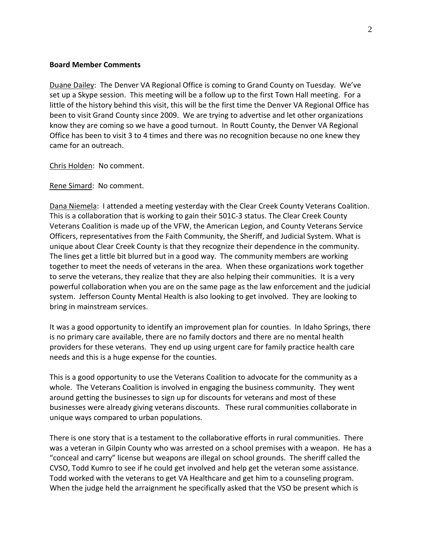#### **Board Member Comments**

Duane Dailey: The Denver VA Regional Office is coming to Grand County on Tuesday. We've set up a Skype session. This meeting will be a follow up to the first Town Hall meeting. For a little of the history behind this visit, this will be the first time the Denver VA Regional Office has been to visit Grand County since 2009. We are trying to advertise and let other organizations know they are coming so we have a good turnout. In Routt County, the Denver VA Regional Office has been to visit 3 to 4 times and there was no recognition because no one knew they came for an outreach.

Chris Holden: No comment.

Rene Simard: No comment.

Dana Niemela: I attended a meeting yesterday with the Clear Creek County Veterans Coalition. This is a collaboration that is working to gain their 501C-3 status. The Clear Creek County Veterans Coalition is made up of the VFW, the American Legion, and County Veterans Service Officers, representatives from the Faith Community, the Sheriff, and Judicial System. What is unique about Clear Creek County is that they recognize their dependence in the community. The lines get a little bit blurred but in a good way. The community members are working together to meet the needs of veterans in the area. When these organizations work together to serve the veterans, they realize that they are also helping their communities. It is a very powerful collaboration when you are on the same page as the law enforcement and the judicial system. Jefferson County Mental Health is also looking to get involved. They are looking to bring in mainstream services.

It was a good opportunity to identify an improvement plan for counties. In Idaho Springs, there is no primary care available, there are no family doctors and there are no mental health providers for these veterans. They end up using urgent care for family practice health care needs and this is a huge expense for the counties.

This is a good opportunity to use the Veterans Coalition to advocate for the community as a whole. The Veterans Coalition is involved in engaging the business community. They went around getting the businesses to sign up for discounts for veterans and most of these businesses were already giving veterans discounts. These rural communities collaborate in unique ways compared to urban populations.

There is one story that is a testament to the collaborative efforts in rural communities. There was a veteran in Gilpin County who was arrested on a school premises with a weapon. He has a "conceal and carry" license but weapons are illegal on school grounds. The sheriff called the CVSO, Todd Kumro to see if he could get involved and help get the veteran some assistance. Todd worked with the veterans to get VA Healthcare and get him to a counseling program. When the judge held the arraignment he specifically asked that the VSO be present which is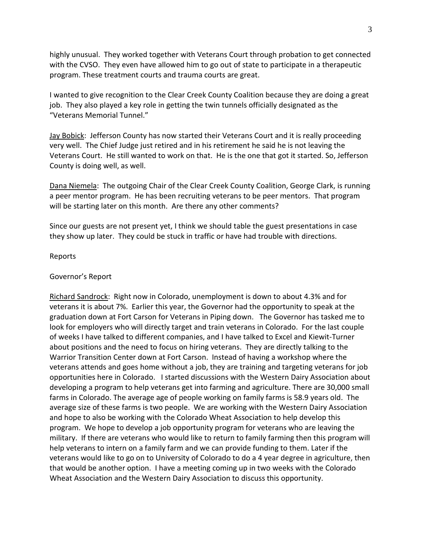highly unusual. They worked together with Veterans Court through probation to get connected with the CVSO. They even have allowed him to go out of state to participate in a therapeutic program. These treatment courts and trauma courts are great.

I wanted to give recognition to the Clear Creek County Coalition because they are doing a great job. They also played a key role in getting the twin tunnels officially designated as the "Veterans Memorial Tunnel."

Jay Bobick: Jefferson County has now started their Veterans Court and it is really proceeding very well. The Chief Judge just retired and in his retirement he said he is not leaving the Veterans Court. He still wanted to work on that. He is the one that got it started. So, Jefferson County is doing well, as well.

Dana Niemela: The outgoing Chair of the Clear Creek County Coalition, George Clark, is running a peer mentor program. He has been recruiting veterans to be peer mentors. That program will be starting later on this month. Are there any other comments?

Since our guests are not present yet, I think we should table the guest presentations in case they show up later. They could be stuck in traffic or have had trouble with directions.

### Reports

#### Governor's Report

Richard Sandrock: Right now in Colorado, unemployment is down to about 4.3% and for veterans it is about 7%. Earlier this year, the Governor had the opportunity to speak at the graduation down at Fort Carson for Veterans in Piping down. The Governor has tasked me to look for employers who will directly target and train veterans in Colorado. For the last couple of weeks I have talked to different companies, and I have talked to Excel and Kiewit-Turner about positions and the need to focus on hiring veterans. They are directly talking to the Warrior Transition Center down at Fort Carson. Instead of having a workshop where the veterans attends and goes home without a job, they are training and targeting veterans for job opportunities here in Colorado. I started discussions with the Western Dairy Association about developing a program to help veterans get into farming and agriculture. There are 30,000 small farms in Colorado. The average age of people working on family farms is 58.9 years old. The average size of these farms is two people. We are working with the Western Dairy Association and hope to also be working with the Colorado Wheat Association to help develop this program. We hope to develop a job opportunity program for veterans who are leaving the military. If there are veterans who would like to return to family farming then this program will help veterans to intern on a family farm and we can provide funding to them. Later if the veterans would like to go on to University of Colorado to do a 4 year degree in agriculture, then that would be another option. I have a meeting coming up in two weeks with the Colorado Wheat Association and the Western Dairy Association to discuss this opportunity.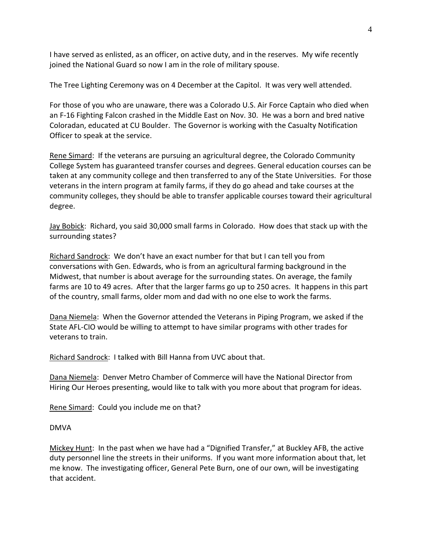I have served as enlisted, as an officer, on active duty, and in the reserves. My wife recently joined the National Guard so now I am in the role of military spouse.

The Tree Lighting Ceremony was on 4 December at the Capitol. It was very well attended.

For those of you who are unaware, there was a Colorado U.S. Air Force Captain who died when an F-16 Fighting Falcon crashed in the Middle East on Nov. 30. He was a born and bred native Coloradan, educated at CU Boulder. The Governor is working with the Casualty Notification Officer to speak at the service.

Rene Simard: If the veterans are pursuing an agricultural degree, the Colorado Community College System has guaranteed transfer courses and degrees. General education courses can be taken at any community college and then transferred to any of the State Universities. For those veterans in the intern program at family farms, if they do go ahead and take courses at the community colleges, they should be able to transfer applicable courses toward their agricultural degree.

Jay Bobick: Richard, you said 30,000 small farms in Colorado. How does that stack up with the surrounding states?

Richard Sandrock: We don't have an exact number for that but I can tell you from conversations with Gen. Edwards, who is from an agricultural farming background in the Midwest, that number is about average for the surrounding states. On average, the family farms are 10 to 49 acres. After that the larger farms go up to 250 acres. It happens in this part of the country, small farms, older mom and dad with no one else to work the farms.

Dana Niemela: When the Governor attended the Veterans in Piping Program, we asked if the State AFL-CIO would be willing to attempt to have similar programs with other trades for veterans to train.

Richard Sandrock: I talked with Bill Hanna from UVC about that.

Dana Niemela: Denver Metro Chamber of Commerce will have the National Director from Hiring Our Heroes presenting, would like to talk with you more about that program for ideas.

Rene Simard: Could you include me on that?

DMVA

Mickey Hunt: In the past when we have had a "Dignified Transfer," at Buckley AFB, the active duty personnel line the streets in their uniforms. If you want more information about that, let me know. The investigating officer, General Pete Burn, one of our own, will be investigating that accident.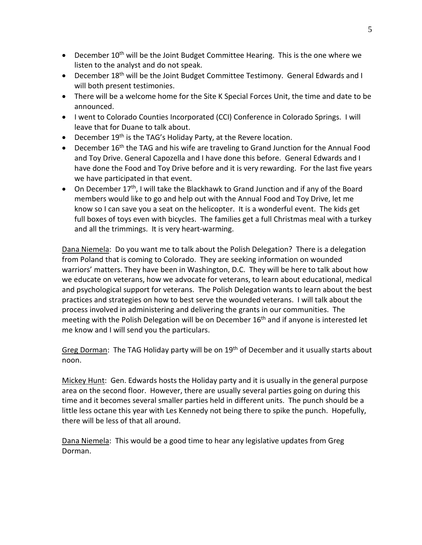- December  $10^{th}$  will be the Joint Budget Committee Hearing. This is the one where we listen to the analyst and do not speak.
- December 18<sup>th</sup> will be the Joint Budget Committee Testimony. General Edwards and I will both present testimonies.
- There will be a welcome home for the Site K Special Forces Unit, the time and date to be announced.
- I went to Colorado Counties Incorporated (CCI) Conference in Colorado Springs. I will leave that for Duane to talk about.
- December 19<sup>th</sup> is the TAG's Holiday Party, at the Revere location.
- December 16<sup>th</sup> the TAG and his wife are traveling to Grand Junction for the Annual Food and Toy Drive. General Capozella and I have done this before. General Edwards and I have done the Food and Toy Drive before and it is very rewarding. For the last five years we have participated in that event.
- On December  $17<sup>th</sup>$ , I will take the Blackhawk to Grand Junction and if any of the Board members would like to go and help out with the Annual Food and Toy Drive, let me know so I can save you a seat on the helicopter. It is a wonderful event. The kids get full boxes of toys even with bicycles. The families get a full Christmas meal with a turkey and all the trimmings. It is very heart-warming.

Dana Niemela: Do you want me to talk about the Polish Delegation? There is a delegation from Poland that is coming to Colorado. They are seeking information on wounded warriors' matters. They have been in Washington, D.C. They will be here to talk about how we educate on veterans, how we advocate for veterans, to learn about educational, medical and psychological support for veterans. The Polish Delegation wants to learn about the best practices and strategies on how to best serve the wounded veterans. I will talk about the process involved in administering and delivering the grants in our communities. The meeting with the Polish Delegation will be on December  $16<sup>th</sup>$  and if anyone is interested let me know and I will send you the particulars.

Greg Dorman: The TAG Holiday party will be on 19<sup>th</sup> of December and it usually starts about noon.

Mickey Hunt: Gen. Edwards hosts the Holiday party and it is usually in the general purpose area on the second floor. However, there are usually several parties going on during this time and it becomes several smaller parties held in different units. The punch should be a little less octane this year with Les Kennedy not being there to spike the punch. Hopefully, there will be less of that all around.

Dana Niemela: This would be a good time to hear any legislative updates from Greg Dorman.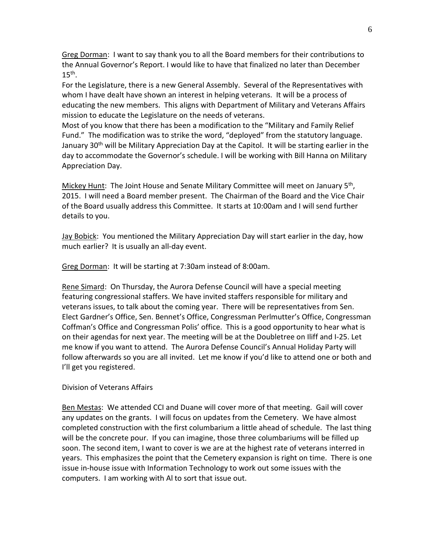Greg Dorman: I want to say thank you to all the Board members for their contributions to the Annual Governor's Report. I would like to have that finalized no later than December  $15<sup>th</sup>$ .

For the Legislature, there is a new General Assembly. Several of the Representatives with whom I have dealt have shown an interest in helping veterans. It will be a process of educating the new members. This aligns with Department of Military and Veterans Affairs mission to educate the Legislature on the needs of veterans.

Most of you know that there has been a modification to the "Military and Family Relief Fund." The modification was to strike the word, "deployed" from the statutory language. January 30<sup>th</sup> will be Military Appreciation Day at the Capitol. It will be starting earlier in the day to accommodate the Governor's schedule. I will be working with Bill Hanna on Military Appreciation Day.

Mickey Hunt: The Joint House and Senate Military Committee will meet on January 5th, 2015. I will need a Board member present. The Chairman of the Board and the Vice Chair of the Board usually address this Committee. It starts at 10:00am and I will send further details to you.

Jay Bobick: You mentioned the Military Appreciation Day will start earlier in the day, how much earlier? It is usually an all-day event.

Greg Dorman: It will be starting at 7:30am instead of 8:00am.

Rene Simard: On Thursday, the Aurora Defense Council will have a special meeting featuring congressional staffers. We have invited staffers responsible for military and veterans issues, to talk about the coming year. There will be representatives from Sen. Elect Gardner's Office, Sen. Bennet's Office, Congressman Perlmutter's Office, Congressman Coffman's Office and Congressman Polis' office. This is a good opportunity to hear what is on their agendas for next year. The meeting will be at the Doubletree on Iliff and I-25. Let me know if you want to attend. The Aurora Defense Council's Annual Holiday Party will follow afterwards so you are all invited. Let me know if you'd like to attend one or both and I'll get you registered.

Division of Veterans Affairs

Ben Mestas: We attended CCI and Duane will cover more of that meeting. Gail will cover any updates on the grants. I will focus on updates from the Cemetery. We have almost completed construction with the first columbarium a little ahead of schedule. The last thing will be the concrete pour. If you can imagine, those three columbariums will be filled up soon. The second item, I want to cover is we are at the highest rate of veterans interred in years. This emphasizes the point that the Cemetery expansion is right on time. There is one issue in-house issue with Information Technology to work out some issues with the computers. I am working with Al to sort that issue out.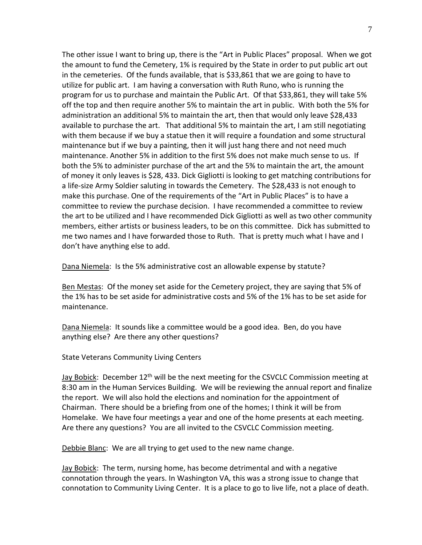The other issue I want to bring up, there is the "Art in Public Places" proposal. When we got the amount to fund the Cemetery, 1% is required by the State in order to put public art out in the cemeteries. Of the funds available, that is \$33,861 that we are going to have to utilize for public art. I am having a conversation with Ruth Runo, who is running the program for us to purchase and maintain the Public Art. Of that \$33,861, they will take 5% off the top and then require another 5% to maintain the art in public. With both the 5% for administration an additional 5% to maintain the art, then that would only leave \$28,433 available to purchase the art. That additional 5% to maintain the art, I am still negotiating with them because if we buy a statue then it will require a foundation and some structural maintenance but if we buy a painting, then it will just hang there and not need much maintenance. Another 5% in addition to the first 5% does not make much sense to us. If both the 5% to administer purchase of the art and the 5% to maintain the art, the amount of money it only leaves is \$28, 433. Dick Gigliotti is looking to get matching contributions for a life-size Army Soldier saluting in towards the Cemetery. The \$28,433 is not enough to make this purchase. One of the requirements of the "Art in Public Places" is to have a committee to review the purchase decision. I have recommended a committee to review the art to be utilized and I have recommended Dick Gigliotti as well as two other community members, either artists or business leaders, to be on this committee. Dick has submitted to me two names and I have forwarded those to Ruth. That is pretty much what I have and I don't have anything else to add.

Dana Niemela: Is the 5% administrative cost an allowable expense by statute?

Ben Mestas: Of the money set aside for the Cemetery project, they are saying that 5% of the 1% has to be set aside for administrative costs and 5% of the 1% has to be set aside for maintenance.

Dana Niemela: It sounds like a committee would be a good idea. Ben, do you have anything else? Are there any other questions?

State Veterans Community Living Centers

Jay Bobick: December 12<sup>th</sup> will be the next meeting for the CSVCLC Commission meeting at 8:30 am in the Human Services Building. We will be reviewing the annual report and finalize the report. We will also hold the elections and nomination for the appointment of Chairman. There should be a briefing from one of the homes; I think it will be from Homelake. We have four meetings a year and one of the home presents at each meeting. Are there any questions? You are all invited to the CSVCLC Commission meeting.

Debbie Blanc: We are all trying to get used to the new name change.

Jay Bobick: The term, nursing home, has become detrimental and with a negative connotation through the years. In Washington VA, this was a strong issue to change that connotation to Community Living Center. It is a place to go to live life, not a place of death.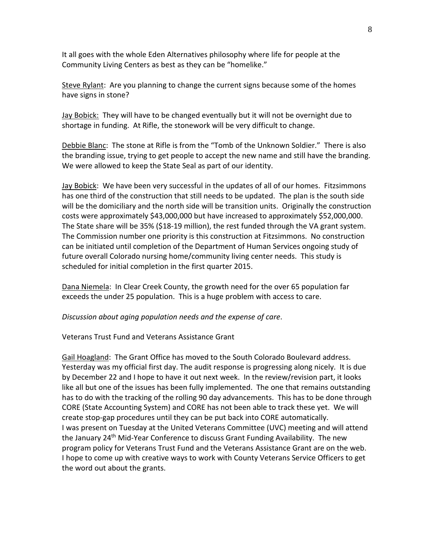It all goes with the whole Eden Alternatives philosophy where life for people at the Community Living Centers as best as they can be "homelike."

Steve Rylant: Are you planning to change the current signs because some of the homes have signs in stone?

Jay Bobick: They will have to be changed eventually but it will not be overnight due to shortage in funding. At Rifle, the stonework will be very difficult to change.

Debbie Blanc: The stone at Rifle is from the "Tomb of the Unknown Soldier." There is also the branding issue, trying to get people to accept the new name and still have the branding. We were allowed to keep the State Seal as part of our identity.

Jay Bobick: We have been very successful in the updates of all of our homes. Fitzsimmons has one third of the construction that still needs to be updated. The plan is the south side will be the domiciliary and the north side will be transition units. Originally the construction costs were approximately \$43,000,000 but have increased to approximately \$52,000,000. The State share will be 35% (\$18-19 million), the rest funded through the VA grant system. The Commission number one priority is this construction at Fitzsimmons. No construction can be initiated until completion of the Department of Human Services ongoing study of future overall Colorado nursing home/community living center needs. This study is scheduled for initial completion in the first quarter 2015.

Dana Niemela: In Clear Creek County, the growth need for the over 65 population far exceeds the under 25 population. This is a huge problem with access to care.

*Discussion about aging population needs and the expense of care*.

Veterans Trust Fund and Veterans Assistance Grant

Gail Hoagland: The Grant Office has moved to the South Colorado Boulevard address. Yesterday was my official first day. The audit response is progressing along nicely. It is due by December 22 and I hope to have it out next week. In the review/revision part, it looks like all but one of the issues has been fully implemented. The one that remains outstanding has to do with the tracking of the rolling 90 day advancements. This has to be done through CORE (State Accounting System) and CORE has not been able to track these yet. We will create stop-gap procedures until they can be put back into CORE automatically. I was present on Tuesday at the United Veterans Committee (UVC) meeting and will attend the January 24<sup>th</sup> Mid-Year Conference to discuss Grant Funding Availability. The new program policy for Veterans Trust Fund and the Veterans Assistance Grant are on the web. I hope to come up with creative ways to work with County Veterans Service Officers to get the word out about the grants.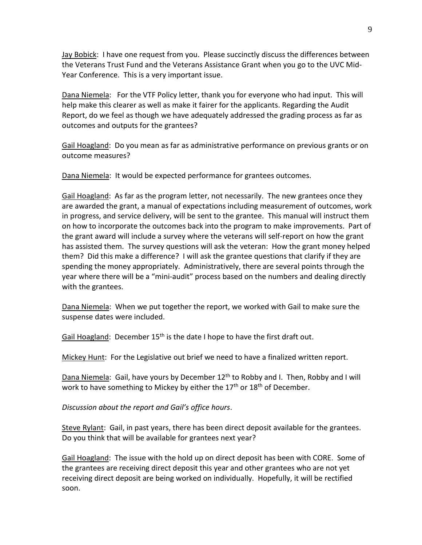Jay Bobick: I have one request from you. Please succinctly discuss the differences between the Veterans Trust Fund and the Veterans Assistance Grant when you go to the UVC Mid-Year Conference. This is a very important issue.

Dana Niemela: For the VTF Policy letter, thank you for everyone who had input. This will help make this clearer as well as make it fairer for the applicants. Regarding the Audit Report, do we feel as though we have adequately addressed the grading process as far as outcomes and outputs for the grantees?

Gail Hoagland: Do you mean as far as administrative performance on previous grants or on outcome measures?

Dana Niemela: It would be expected performance for grantees outcomes.

Gail Hoagland: As far as the program letter, not necessarily. The new grantees once they are awarded the grant, a manual of expectations including measurement of outcomes, work in progress, and service delivery, will be sent to the grantee. This manual will instruct them on how to incorporate the outcomes back into the program to make improvements. Part of the grant award will include a survey where the veterans will self-report on how the grant has assisted them. The survey questions will ask the veteran: How the grant money helped them? Did this make a difference? I will ask the grantee questions that clarify if they are spending the money appropriately. Administratively, there are several points through the year where there will be a "mini-audit" process based on the numbers and dealing directly with the grantees.

Dana Niemela: When we put together the report, we worked with Gail to make sure the suspense dates were included.

Gail Hoagland: December 15<sup>th</sup> is the date I hope to have the first draft out.

Mickey Hunt: For the Legislative out brief we need to have a finalized written report.

Dana Niemela: Gail, have yours by December 12<sup>th</sup> to Robby and I. Then, Robby and I will work to have something to Mickey by either the 17<sup>th</sup> or 18<sup>th</sup> of December.

*Discussion about the report and Gail's office hours*.

Steve Rylant: Gail, in past years, there has been direct deposit available for the grantees. Do you think that will be available for grantees next year?

Gail Hoagland: The issue with the hold up on direct deposit has been with CORE. Some of the grantees are receiving direct deposit this year and other grantees who are not yet receiving direct deposit are being worked on individually. Hopefully, it will be rectified soon.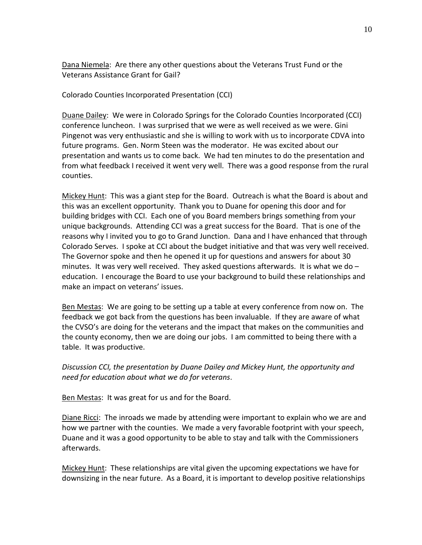Dana Niemela: Are there any other questions about the Veterans Trust Fund or the Veterans Assistance Grant for Gail?

Colorado Counties Incorporated Presentation (CCI)

Duane Dailey: We were in Colorado Springs for the Colorado Counties Incorporated (CCI) conference luncheon. I was surprised that we were as well received as we were. Gini Pingenot was very enthusiastic and she is willing to work with us to incorporate CDVA into future programs. Gen. Norm Steen was the moderator. He was excited about our presentation and wants us to come back. We had ten minutes to do the presentation and from what feedback I received it went very well. There was a good response from the rural counties.

Mickey Hunt: This was a giant step for the Board. Outreach is what the Board is about and this was an excellent opportunity. Thank you to Duane for opening this door and for building bridges with CCI. Each one of you Board members brings something from your unique backgrounds. Attending CCI was a great success for the Board. That is one of the reasons why I invited you to go to Grand Junction. Dana and I have enhanced that through Colorado Serves. I spoke at CCI about the budget initiative and that was very well received. The Governor spoke and then he opened it up for questions and answers for about 30 minutes. It was very well received. They asked questions afterwards. It is what we do  $$ education. I encourage the Board to use your background to build these relationships and make an impact on veterans' issues.

Ben Mestas: We are going to be setting up a table at every conference from now on. The feedback we got back from the questions has been invaluable. If they are aware of what the CVSO's are doing for the veterans and the impact that makes on the communities and the county economy, then we are doing our jobs. I am committed to being there with a table. It was productive.

*Discussion CCI, the presentation by Duane Dailey and Mickey Hunt, the opportunity and need for education about what we do for veterans*.

Ben Mestas: It was great for us and for the Board.

Diane Ricci: The inroads we made by attending were important to explain who we are and how we partner with the counties. We made a very favorable footprint with your speech, Duane and it was a good opportunity to be able to stay and talk with the Commissioners afterwards.

Mickey Hunt: These relationships are vital given the upcoming expectations we have for downsizing in the near future. As a Board, it is important to develop positive relationships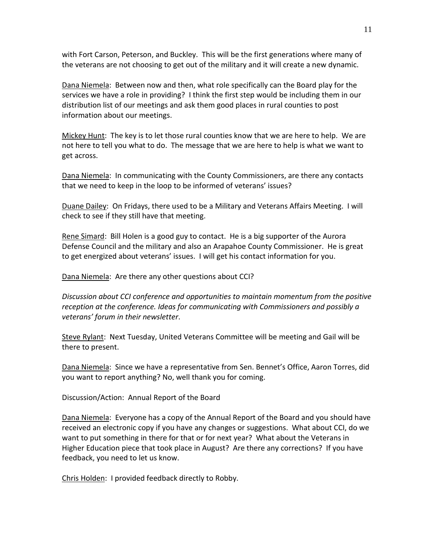with Fort Carson, Peterson, and Buckley. This will be the first generations where many of the veterans are not choosing to get out of the military and it will create a new dynamic.

Dana Niemela: Between now and then, what role specifically can the Board play for the services we have a role in providing? I think the first step would be including them in our distribution list of our meetings and ask them good places in rural counties to post information about our meetings.

Mickey Hunt: The key is to let those rural counties know that we are here to help. We are not here to tell you what to do. The message that we are here to help is what we want to get across.

Dana Niemela: In communicating with the County Commissioners, are there any contacts that we need to keep in the loop to be informed of veterans' issues?

Duane Dailey: On Fridays, there used to be a Military and Veterans Affairs Meeting. I will check to see if they still have that meeting.

Rene Simard: Bill Holen is a good guy to contact. He is a big supporter of the Aurora Defense Council and the military and also an Arapahoe County Commissioner. He is great to get energized about veterans' issues. I will get his contact information for you.

Dana Niemela: Are there any other questions about CCI?

*Discussion about CCI conference and opportunities to maintain momentum from the positive reception at the conference. Ideas for communicating with Commissioners and possibly a veterans' forum in their newsletter*.

Steve Rylant: Next Tuesday, United Veterans Committee will be meeting and Gail will be there to present.

Dana Niemela: Since we have a representative from Sen. Bennet's Office, Aaron Torres, did you want to report anything? No, well thank you for coming.

Discussion/Action: Annual Report of the Board

Dana Niemela: Everyone has a copy of the Annual Report of the Board and you should have received an electronic copy if you have any changes or suggestions. What about CCI, do we want to put something in there for that or for next year? What about the Veterans in Higher Education piece that took place in August? Are there any corrections? If you have feedback, you need to let us know.

Chris Holden: I provided feedback directly to Robby.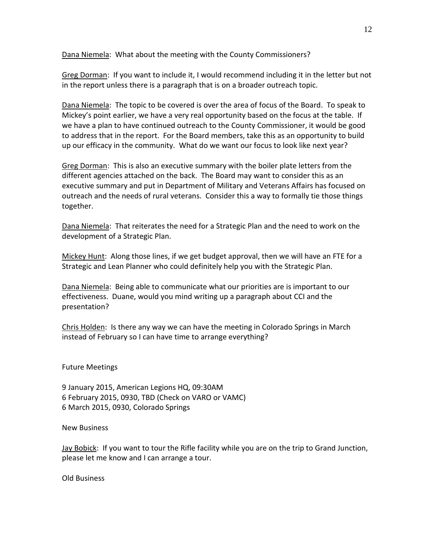Dana Niemela: What about the meeting with the County Commissioners?

Greg Dorman: If you want to include it, I would recommend including it in the letter but not in the report unless there is a paragraph that is on a broader outreach topic.

Dana Niemela: The topic to be covered is over the area of focus of the Board. To speak to Mickey's point earlier, we have a very real opportunity based on the focus at the table. If we have a plan to have continued outreach to the County Commissioner, it would be good to address that in the report. For the Board members, take this as an opportunity to build up our efficacy in the community. What do we want our focus to look like next year?

Greg Dorman: This is also an executive summary with the boiler plate letters from the different agencies attached on the back. The Board may want to consider this as an executive summary and put in Department of Military and Veterans Affairs has focused on outreach and the needs of rural veterans. Consider this a way to formally tie those things together.

Dana Niemela: That reiterates the need for a Strategic Plan and the need to work on the development of a Strategic Plan.

Mickey Hunt: Along those lines, if we get budget approval, then we will have an FTE for a Strategic and Lean Planner who could definitely help you with the Strategic Plan.

Dana Niemela: Being able to communicate what our priorities are is important to our effectiveness. Duane, would you mind writing up a paragraph about CCI and the presentation?

Chris Holden: Is there any way we can have the meeting in Colorado Springs in March instead of February so I can have time to arrange everything?

Future Meetings

9 January 2015, American Legions HQ, 09:30AM 6 February 2015, 0930, TBD (Check on VARO or VAMC) 6 March 2015, 0930, Colorado Springs

New Business

Jay Bobick: If you want to tour the Rifle facility while you are on the trip to Grand Junction, please let me know and I can arrange a tour.

Old Business